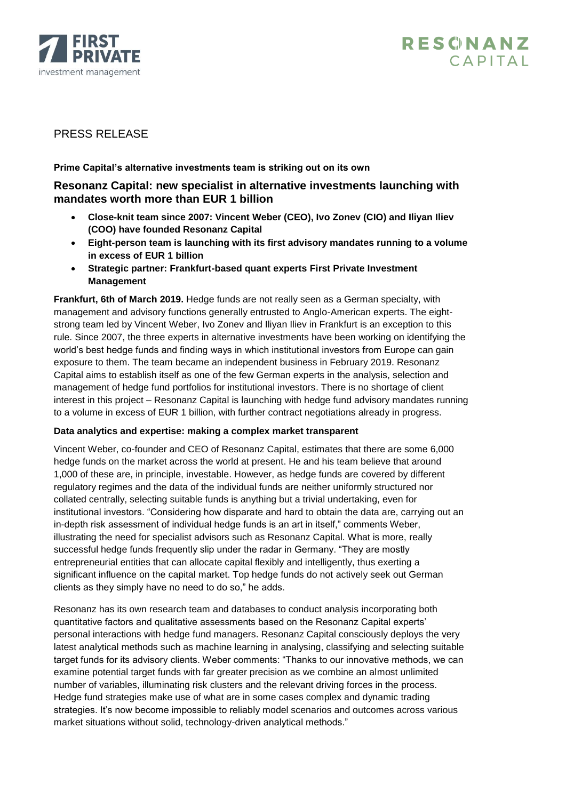



# PRESS RELEASE

## **Prime Capital's alternative investments team is striking out on its own**

## **Resonanz Capital: new specialist in alternative investments launching with mandates worth more than EUR 1 billion**

- **Close-knit team since 2007: Vincent Weber (CEO), Ivo Zonev (CIO) and Iliyan Iliev (COO) have founded Resonanz Capital**
- **Eight-person team is launching with its first advisory mandates running to a volume in excess of EUR 1 billion**
- **Strategic partner: Frankfurt-based quant experts First Private Investment Management**

**Frankfurt, 6th of March 2019.** Hedge funds are not really seen as a German specialty, with management and advisory functions generally entrusted to Anglo-American experts. The eightstrong team led by Vincent Weber, Ivo Zonev and Iliyan Iliev in Frankfurt is an exception to this rule. Since 2007, the three experts in alternative investments have been working on identifying the world's best hedge funds and finding ways in which institutional investors from Europe can gain exposure to them. The team became an independent business in February 2019. Resonanz Capital aims to establish itself as one of the few German experts in the analysis, selection and management of hedge fund portfolios for institutional investors. There is no shortage of client interest in this project – Resonanz Capital is launching with hedge fund advisory mandates running to a volume in excess of EUR 1 billion, with further contract negotiations already in progress.

## **Data analytics and expertise: making a complex market transparent**

Vincent Weber, co-founder and CEO of Resonanz Capital, estimates that there are some 6,000 hedge funds on the market across the world at present. He and his team believe that around 1,000 of these are, in principle, investable. However, as hedge funds are covered by different regulatory regimes and the data of the individual funds are neither uniformly structured nor collated centrally, selecting suitable funds is anything but a trivial undertaking, even for institutional investors. "Considering how disparate and hard to obtain the data are, carrying out an in-depth risk assessment of individual hedge funds is an art in itself," comments Weber, illustrating the need for specialist advisors such as Resonanz Capital. What is more, really successful hedge funds frequently slip under the radar in Germany. "They are mostly entrepreneurial entities that can allocate capital flexibly and intelligently, thus exerting a significant influence on the capital market. Top hedge funds do not actively seek out German clients as they simply have no need to do so," he adds.

Resonanz has its own research team and databases to conduct analysis incorporating both quantitative factors and qualitative assessments based on the Resonanz Capital experts' personal interactions with hedge fund managers. Resonanz Capital consciously deploys the very latest analytical methods such as machine learning in analysing, classifying and selecting suitable target funds for its advisory clients. Weber comments: "Thanks to our innovative methods, we can examine potential target funds with far greater precision as we combine an almost unlimited number of variables, illuminating risk clusters and the relevant driving forces in the process. Hedge fund strategies make use of what are in some cases complex and dynamic trading strategies. It's now become impossible to reliably model scenarios and outcomes across various market situations without solid, technology-driven analytical methods."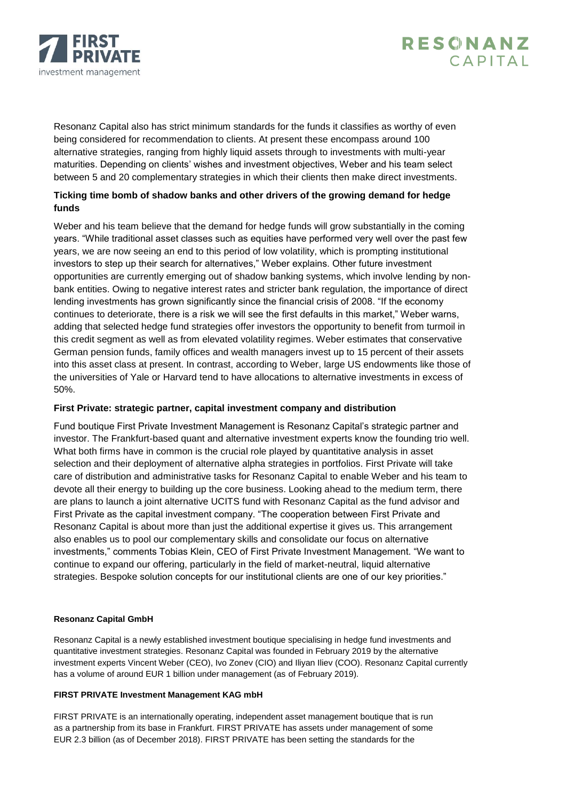



Resonanz Capital also has strict minimum standards for the funds it classifies as worthy of even being considered for recommendation to clients. At present these encompass around 100 alternative strategies, ranging from highly liquid assets through to investments with multi-year maturities. Depending on clients' wishes and investment objectives, Weber and his team select between 5 and 20 complementary strategies in which their clients then make direct investments.

## **Ticking time bomb of shadow banks and other drivers of the growing demand for hedge funds**

Weber and his team believe that the demand for hedge funds will grow substantially in the coming years. "While traditional asset classes such as equities have performed very well over the past few years, we are now seeing an end to this period of low volatility, which is prompting institutional investors to step up their search for alternatives," Weber explains. Other future investment opportunities are currently emerging out of shadow banking systems, which involve lending by nonbank entities. Owing to negative interest rates and stricter bank regulation, the importance of direct lending investments has grown significantly since the financial crisis of 2008. "If the economy continues to deteriorate, there is a risk we will see the first defaults in this market," Weber warns, adding that selected hedge fund strategies offer investors the opportunity to benefit from turmoil in this credit segment as well as from elevated volatility regimes. Weber estimates that conservative German pension funds, family offices and wealth managers invest up to 15 percent of their assets into this asset class at present. In contrast, according to Weber, large US endowments like those of the universities of Yale or Harvard tend to have allocations to alternative investments in excess of 50%.

## **First Private: strategic partner, capital investment company and distribution**

Fund boutique First Private Investment Management is Resonanz Capital's strategic partner and investor. The Frankfurt-based quant and alternative investment experts know the founding trio well. What both firms have in common is the crucial role played by quantitative analysis in asset selection and their deployment of alternative alpha strategies in portfolios. First Private will take care of distribution and administrative tasks for Resonanz Capital to enable Weber and his team to devote all their energy to building up the core business. Looking ahead to the medium term, there are plans to launch a joint alternative UCITS fund with Resonanz Capital as the fund advisor and First Private as the capital investment company. "The cooperation between First Private and Resonanz Capital is about more than just the additional expertise it gives us. This arrangement also enables us to pool our complementary skills and consolidate our focus on alternative investments," comments Tobias Klein, CEO of First Private Investment Management. "We want to continue to expand our offering, particularly in the field of market-neutral, liquid alternative strategies. Bespoke solution concepts for our institutional clients are one of our key priorities."

## **Resonanz Capital GmbH**

Resonanz Capital is a newly established investment boutique specialising in hedge fund investments and quantitative investment strategies. Resonanz Capital was founded in February 2019 by the alternative investment experts Vincent Weber (CEO), Ivo Zonev (CIO) and Iliyan Iliev (COO). Resonanz Capital currently has a volume of around EUR 1 billion under management (as of February 2019).

## **FIRST PRIVATE Investment Management KAG mbH**

FIRST PRIVATE is an internationally operating, independent asset management boutique that is run as a partnership from its base in Frankfurt. FIRST PRIVATE has assets under management of some EUR 2.3 billion (as of December 2018). FIRST PRIVATE has been setting the standards for the